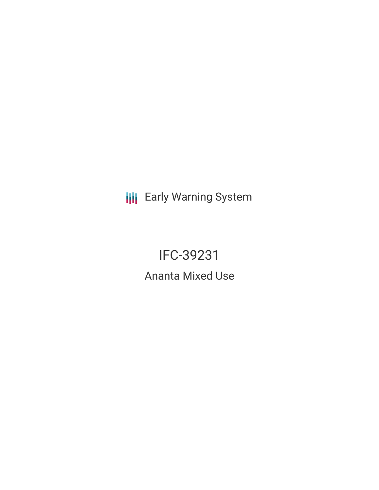**III** Early Warning System

IFC-39231 Ananta Mixed Use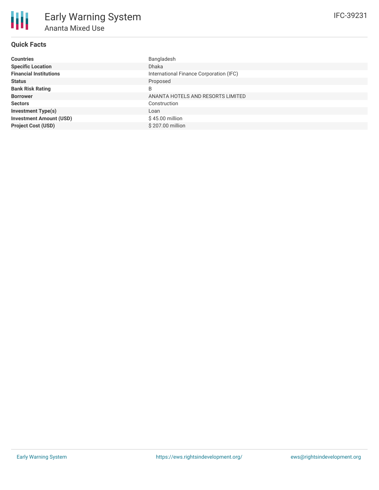# **Quick Facts**

| <b>Countries</b>               | Bangladesh                              |
|--------------------------------|-----------------------------------------|
| <b>Specific Location</b>       | <b>Dhaka</b>                            |
| <b>Financial Institutions</b>  | International Finance Corporation (IFC) |
| <b>Status</b>                  | Proposed                                |
| <b>Bank Risk Rating</b>        | B                                       |
| <b>Borrower</b>                | ANANTA HOTELS AND RESORTS LIMITED       |
| <b>Sectors</b>                 | Construction                            |
| <b>Investment Type(s)</b>      | Loan                                    |
| <b>Investment Amount (USD)</b> | $$45.00$ million                        |
| <b>Project Cost (USD)</b>      | \$207.00 million                        |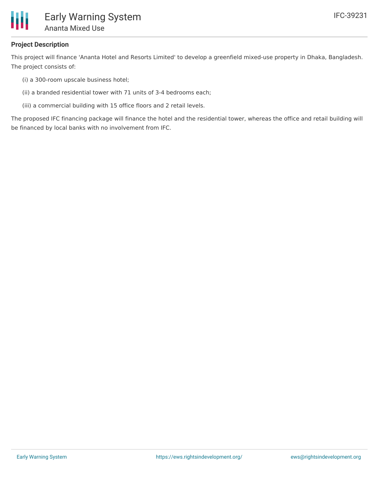

# **Project Description**

This project will finance 'Ananta Hotel and Resorts Limited' to develop a greenfield mixed-use property in Dhaka, Bangladesh. The project consists of:

- (i) a 300-room upscale business hotel;
- (ii) a branded residential tower with 71 units of 3-4 bedrooms each;
- (iii) a commercial building with 15 office floors and 2 retail levels.

The proposed IFC financing package will finance the hotel and the residential tower, whereas the office and retail building will be financed by local banks with no involvement from IFC.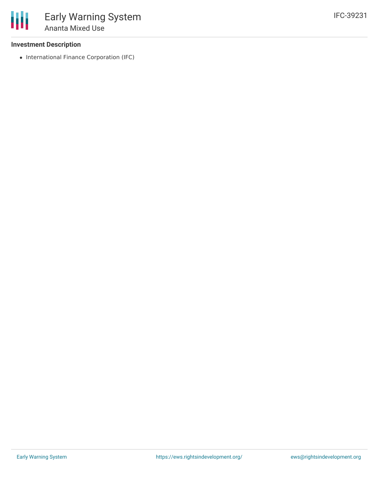## **Investment Description**

• International Finance Corporation (IFC)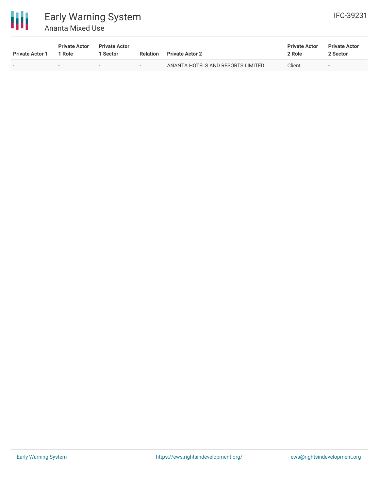

# Early Warning System Ananta Mixed Use

| <b>Private Actor 1</b> | <b>Private Actor</b><br>l Role | <b>Private Actor</b><br><b>Sector</b> | <b>Relation</b> | <b>Private Actor 2</b>            | <b>Private Actor</b><br>2 Role | <b>Private Actor</b><br>2 Sector |
|------------------------|--------------------------------|---------------------------------------|-----------------|-----------------------------------|--------------------------------|----------------------------------|
|                        |                                | $\overline{\phantom{0}}$              | $\sim$          | ANANTA HOTELS AND RESORTS LIMITED | Client                         | $\overline{\phantom{0}}$         |